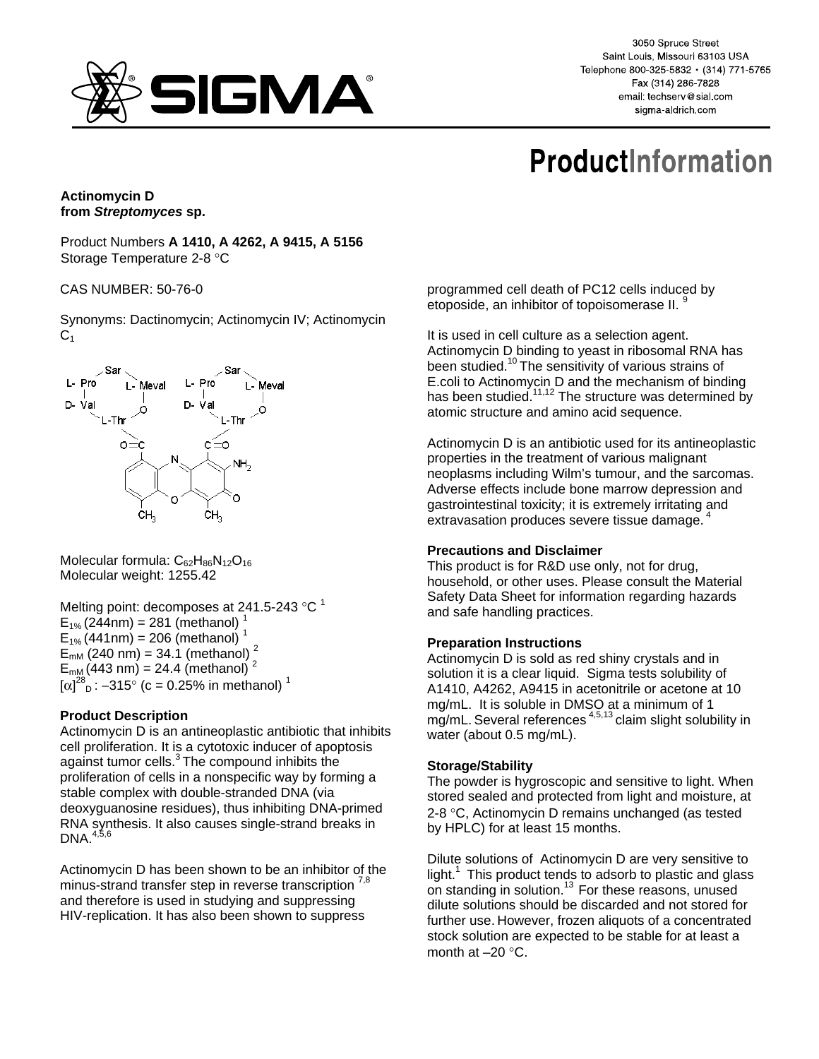

3050 Spruce Street Saint Louis, Missouri 63103 USA Telephone 800-325-5832 · (314) 771-5765 Fax (314) 286-7828 email: techserv@sial.com sigma-aldrich.com

# **ProductInformation**

# **Actinomycin D from** *Streptomyces* **sp.**

Product Numbers **A 1410, A 4262, A 9415, A 5156** Storage Temperature 2-8 °C

## CAS NUMBER: 50-76-0

Synonyms: Dactinomycin; Actinomycin IV; Actinomycin  $C<sub>1</sub>$ 



Molecular formula:  $C_{62}H_{86}N_{12}O_{16}$ Molecular weight: 1255.42

Melting point: decomposes at 241.5-243  $^{\circ}$ C<sup>1</sup>  $E_{1\%}$  (244nm) = 281 (methanol)<sup>1</sup>  $E_{1\%}$  (441nm) = 206 (methanol)<sup>1</sup>  $E_{mM}$  (240 nm) = 34.1 (methanol)<sup>2</sup>  $E_{mM}$ (443 nm) = 24.4 (methanol)<sup>2</sup>  $[\alpha]^{28}$ <sub>D</sub>: -315° (c = 0.25% in methanol)<sup>1</sup>

# **Product Description**

Actinomycin D is an antineoplastic antibiotic that inhibits cell proliferation. It is a cytotoxic inducer of apoptosis against tumor cells.<sup>3</sup> The compound inhibits the proliferation of cells in a nonspecific way by forming a stable complex with double-stranded DNA (via deoxyguanosine residues), thus inhibiting DNA-primed RNA synthesis. It also causes single-strand breaks in  $DNA.<sup>4,5,6</sup>$ 

Actinomycin D has been shown to be an inhibitor of the minus-strand transfer step in reverse transcription <sup>7,8</sup> and therefore is used in studying and suppressing HIV-replication. It has also been shown to suppress

programmed cell death of PC12 cells induced by etoposide, an inhibitor of topoisomerase II.<sup>9</sup>

It is used in cell culture as a selection agent. Actinomycin D binding to yeast in ribosomal RNA has been studied.<sup>10</sup> The sensitivity of various strains of E.coli to Actinomycin D and the mechanism of binding has been studied.<sup>11,12</sup> The structure was determined by atomic structure and amino acid sequence.

Actinomycin D is an antibiotic used for its antineoplastic properties in the treatment of various malignant neoplasms including Wilm's tumour, and the sarcomas. Adverse effects include bone marrow depression and gastrointestinal toxicity; it is extremely irritating and extravasation produces severe tissue damage.

#### **Precautions and Disclaimer**

This product is for R&D use only, not for drug, household, or other uses. Please consult the Material Safety Data Sheet for information regarding hazards and safe handling practices.

#### **Preparation Instructions**

Actinomycin D is sold as red shiny crystals and in solution it is a clear liquid. Sigma tests solubility of A1410, A4262, A9415 in acetonitrile or acetone at 10 mg/mL. It is soluble in DMSO at a minimum of 1 mg/mL. Several references<sup>4,5,13</sup> claim slight solubility in water (about 0.5 mg/mL).

#### **Storage/Stability**

The powder is hygroscopic and sensitive to light. When stored sealed and protected from light and moisture, at 2-8 °C, Actinomycin D remains unchanged (as tested by HPLC) for at least 15 months.

Dilute solutions of Actinomycin D are very sensitive to light. $1$  This product tends to adsorb to plastic and glass on standing in solution.<sup>13</sup> For these reasons, unused dilute solutions should be discarded and not stored for further use. However, frozen aliquots of a concentrated stock solution are expected to be stable for at least a month at –20 °C.